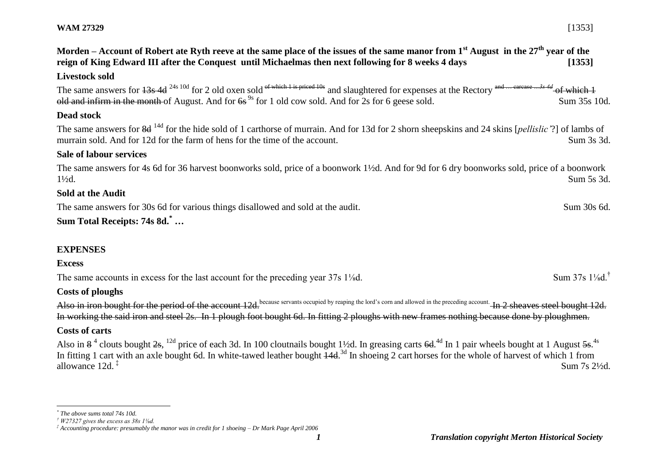**Morden – Account of Robert ate Ryth reeve at the same place of the issues of the same manor from 1st August in the 27th year of the reign of King Edward III after the Conquest until Michaelmas then next following for 8 weeks 4 days [1353]**

#### **Livestock sold**

The same answers for  $13s$  4d <sup>24s 10d</sup> for 2 old oxen sold of which 1 is priced 10s and slaughtered for expenses at the Rectory and … carcase *…3s 4d* of which 1 old and infirm in the month of August. And for  $6s^{9s}$  for 1 old cow sold. And for 2s for 6 geese sold. Sum 35s 10d.

### **Dead stock**

The same answers for 8d 14d for the hide sold of 1 carthorse of murrain. And for 13d for 2 shorn sheepskins and 24 skins [*pellislic'*?] of lambs of murrain sold. And for 12d for the farm of hens for the time of the account. Sum 3s 3d.

#### **Sale of labour services**

The same answers for 4s 6d for 36 harvest boonworks sold, price of a boonwork 1½d. And for 9d for 6 dry boonworks sold, price of a boonwork 1½d. Sum 5s 3d.

#### **Sold at the Audit**

The same answers for 30s 6d for various things disallowed and sold at the audit. Sum 30s 6d.

# **Sum Total Receipts: 74s 8d.\* …**

## **EXPENSES**

### **Excess**

 $\overline{a}$ 

The same accounts in excess for the last account for the preceding year 37s 1<sup>1</sup>/<sub>8</sub>d. Sum 37s 1<sup>1</sup>/<sub>8</sub>d.<sup>†</sup>

### **Costs of ploughs**

Also in iron bought for the period of the account 12d.<sup>because servants occupied by reaping the lord's corn and allowed in the preceding account. In 2 sheaves steel bought 12d.</sup> In working the said iron and steel 2s. In 1 plough foot bought 6d. In fitting 2 ploughs with new frames nothing because done by ploughmen.

### **Costs of carts**

Also in  $8^4$  clouts bought  $2s$ ,  $^{12d}$  price of each 3d. In 100 cloutnails bought 1½d. In greasing carts  $6d$ .<sup>4d</sup> In 1 pair wheels bought at 1 August  $5s$ .<sup>4s</sup> In fitting 1 cart with an axle bought 6d. In white-tawed leather bought  $\frac{14d}{3}$  In shoeing 2 cart horses for the whole of harvest of which 1 from allowance 12d. ‡ Sum 7s 2½d.

*<sup>\*</sup> The above sums total 74s 10d.* 

*<sup>†</sup> W27327 gives the excess as 38s 1⅛d.*

*<sup>‡</sup> Accounting procedure: presumably the manor was in credit for 1 shoeing – Dr Mark Page April 2006*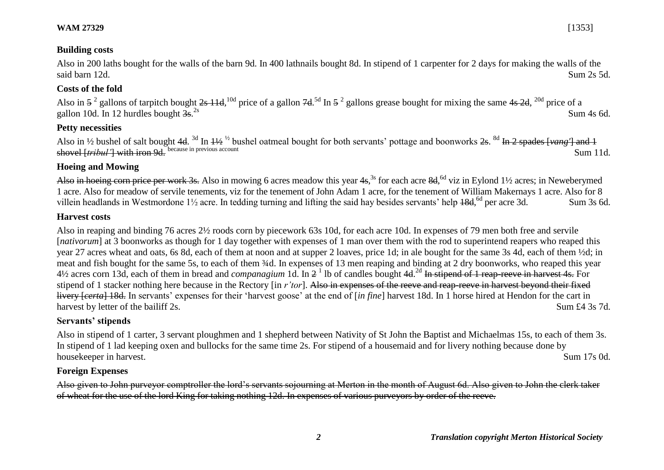### **WAM 27329** [1353]

### **Building costs**

Also in 200 laths bought for the walls of the barn 9d. In 400 lathnails bought 8d. In stipend of 1 carpenter for 2 days for making the walls of the said barn 12d. Sum 2s 5d.

### **Costs of the fold**

Also in  $5^2$  gallons of tarpitch bought  $2s$  11d,  $10d$  price of a gallon  $7d$ . <sup>5d</sup> In  $5^2$  gallons grease bought for mixing the same  $4s$   $2d$ ,  $20d$  price of a gallon 10d. In 12 hurdles bought  $\frac{3s}{2}$ <sup>2s</sup>  $\sum_{2s}$  Sum 4s 6d.

### **Petty necessities**

Also in 1/2 bushel of salt bought 4d. <sup>3d</sup> In <del>11/2</del> <sup>1/2</sup> bushel oatmeal bought for both servants' pottage and boonworks <del>2s</del>. <sup>8d</sup> In 2 spades [vang'] and 1 shovel [*tribul'*] with iron 9d. because in previous account Sum 11d.

### **Hoeing and Mowing**

Also in hoeing corn price per work 3s. Also in mowing 6 acres meadow this year 4s,<sup>3s</sup> for each acre 8d,<sup>6d</sup> viz in Eylond 1½ acres; in Neweberymed 1 acre. Also for meadow of servile tenements, viz for the tenement of John Adam 1 acre, for the tenement of William Makernays 1 acre. Also for 8 villein headlands in Westmordone 1<sup>1</sup>/<sub>2</sub> acre. In tedding turning and lifting the said hay besides servants' help 18d, <sup>6d</sup> per acre 3d. Sum 3s 6d.

### **Harvest costs**

Also in reaping and binding 76 acres 2½ roods corn by piecework 63s 10d, for each acre 10d. In expenses of 79 men both free and servile [*nativorum*] at 3 boonworks as though for 1 day together with expenses of 1 man over them with the rod to superintend reapers who reaped this year 27 acres wheat and oats, 6s 8d, each of them at noon and at supper 2 loaves, price 1d; in ale bought for the same 3s 4d, each of them ½d; in meat and fish bought for the same 5s, to each of them ¾d. In expenses of 13 men reaping and binding at 2 dry boonworks, who reaped this year 4½ acres corn 13d, each of them in bread and *companagium* 1d. In 2 1 lb of candles bought 4d. 2d In stipend of 1 reap-reeve in harvest 4s. For stipend of 1 stacker nothing here because in the Rectory [in *r'tor*]. Also in expenses of the reeve and reap-reeve in harvest beyond their fixed livery [*certa*] 18d. In servants' expenses for their 'harvest goose' at the end of [*in fine*] harvest 18d. In 1 horse hired at Hendon for the cart in harvest by letter of the bailiff 2s. Sum £4 3s 7d.

### **Servants' stipends**

Also in stipend of 1 carter, 3 servant ploughmen and 1 shepherd between Nativity of St John the Baptist and Michaelmas 15s, to each of them 3s. In stipend of 1 lad keeping oxen and bullocks for the same time 2s. For stipend of a housemaid and for livery nothing because done by housekeeper in harvest. Sum 17s 0d.

### **Foreign Expenses**

Also given to John purveyor comptroller the lord's servants sojourning at Merton in the month of August 6d. Also given to John the clerk taker of wheat for the use of the lord King for taking nothing 12d. In expenses of various purveyors by order of the reeve.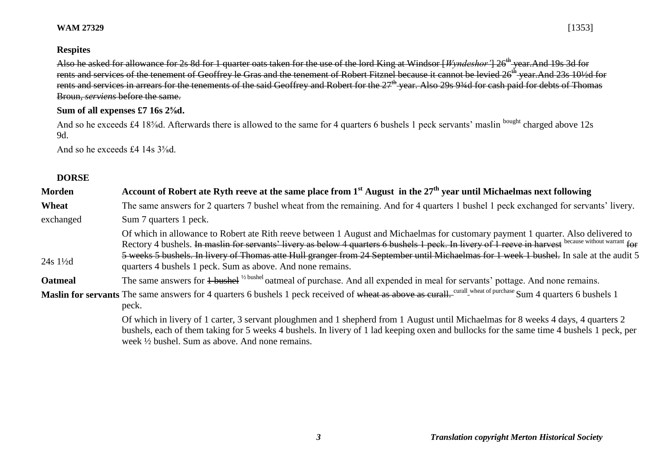### **WAM 27329** [1353]

### **Respites**

Also he asked for allowance for 2s 8d for 1 quarter oats taken for the use of the lord King at Windsor [*Wyndeshor* '] 26<sup>th</sup> year.And 19s 3d for rents and services of the tenement of Geoffrey le Gras and the tenement of Robert Fitznel because it cannot be levied 26<sup>th</sup> year.And 23s 10½d for rents and services in arrears for the tenements of the said Geoffrey and Robert for the 27<sup>th</sup> year. Also 29s 93⁄4d for cash paid for debts of Thomas Broun, *serviens* before the same.

### **Sum of all expenses £7 16s 2⅝d.**

And so he exceeds £4 18<sup>5</sup>/<sub>8</sub>d. Afterwards there is allowed to the same for 4 quarters 6 bushels 1 peck servants' maslin <sup>bought</sup> charged above 12s 9d.

And so he exceeds £4 14s  $3\frac{^{5}}{8}$ d.

### **DORSE**

| Account of Robert ate Ryth reeve at the same place from $1st$ August in the $27th$ year until Michaelmas next following                                                                                                                                                                                                                                                                                                                                                                           |
|---------------------------------------------------------------------------------------------------------------------------------------------------------------------------------------------------------------------------------------------------------------------------------------------------------------------------------------------------------------------------------------------------------------------------------------------------------------------------------------------------|
| The same answers for 2 quarters 7 bushel wheat from the remaining. And for 4 quarters 1 bushel 1 peck exchanged for servants' livery.                                                                                                                                                                                                                                                                                                                                                             |
| Sum 7 quarters 1 peck.                                                                                                                                                                                                                                                                                                                                                                                                                                                                            |
| Of which in allowance to Robert ate Rith reeve between 1 August and Michaelmas for customary payment 1 quarter. Also delivered to<br>Rectory 4 bushels. In maslin for servants' livery as below 4 quarters 6 bushels 1 peck. In livery of 1 reeve in harvest because without warrant for<br>5 weeks 5 bushels. In livery of Thomas atte Hull granger from 24 September until Michaelmas for 1 week 1 bushel. In sale at the audit 5<br>quarters 4 bushels 1 peck. Sum as above. And none remains. |
| The same answers for 4 bushel <sup>1/2</sup> bushel oatmeal of purchase. And all expended in meal for servants' pottage. And none remains.                                                                                                                                                                                                                                                                                                                                                        |
| Maslin for servants The same answers for 4 quarters 6 bushels 1 peck received of wheat as above as curall. Curall wheat of purchase Sum 4 quarters 6 bushels 1<br>peck.                                                                                                                                                                                                                                                                                                                           |
|                                                                                                                                                                                                                                                                                                                                                                                                                                                                                                   |

Of which in livery of 1 carter, 3 servant ploughmen and 1 shepherd from 1 August until Michaelmas for 8 weeks 4 days, 4 quarters 2 bushels, each of them taking for 5 weeks 4 bushels. In livery of 1 lad keeping oxen and bullocks for the same time 4 bushels 1 peck, per week ½ bushel. Sum as above. And none remains.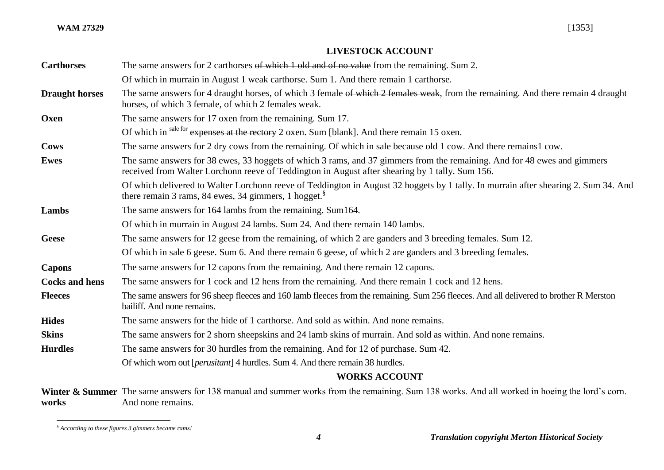### **LIVESTOCK ACCOUNT**

| <b>Carthorses</b>     | The same answers for 2 carthorses of which 1 old and of no value from the remaining. Sum 2.                                                                                                                                 |
|-----------------------|-----------------------------------------------------------------------------------------------------------------------------------------------------------------------------------------------------------------------------|
|                       | Of which in murrain in August 1 weak carthorse. Sum 1. And there remain 1 carthorse.                                                                                                                                        |
| <b>Draught horses</b> | The same answers for 4 draught horses, of which 3 female of which 2 females weak, from the remaining. And there remain 4 draught<br>horses, of which 3 female, of which 2 females weak.                                     |
| Oxen                  | The same answers for 17 oxen from the remaining. Sum 17.                                                                                                                                                                    |
|                       | Of which in sale for expenses at the rectory 2 oxen. Sum [blank]. And there remain 15 oxen.                                                                                                                                 |
| <b>Cows</b>           | The same answers for 2 dry cows from the remaining. Of which in sale because old 1 cow. And there remains1 cow.                                                                                                             |
| <b>Ewes</b>           | The same answers for 38 ewes, 33 hoggets of which 3 rams, and 37 gimmers from the remaining. And for 48 ewes and gimmers<br>received from Walter Lorchonn reeve of Teddington in August after shearing by 1 tally. Sum 156. |
|                       | Of which delivered to Walter Lorchonn reeve of Teddington in August 32 hoggets by 1 tally. In murrain after shearing 2. Sum 34. And<br>there remain 3 rams, 84 ewes, 34 gimmers, 1 hogget. <sup>8</sup>                     |
| Lambs                 | The same answers for 164 lambs from the remaining. Sum164.                                                                                                                                                                  |
|                       | Of which in murrain in August 24 lambs. Sum 24. And there remain 140 lambs.                                                                                                                                                 |
| <b>Geese</b>          | The same answers for 12 geese from the remaining, of which 2 are ganders and 3 breeding females. Sum 12.                                                                                                                    |
|                       | Of which in sale 6 geese. Sum 6. And there remain 6 geese, of which 2 are ganders and 3 breeding females.                                                                                                                   |
| <b>Capons</b>         | The same answers for 12 capons from the remaining. And there remain 12 capons.                                                                                                                                              |
| <b>Cocks and hens</b> | The same answers for 1 cock and 12 hens from the remaining. And there remain 1 cock and 12 hens.                                                                                                                            |
| <b>Fleeces</b>        | The same answers for 96 sheep fleeces and 160 lamb fleeces from the remaining. Sum 256 fleeces. And all delivered to brother R Merston<br>bailiff. And none remains.                                                        |
| <b>Hides</b>          | The same answers for the hide of 1 carthorse. And sold as within. And none remains.                                                                                                                                         |
| <b>Skins</b>          | The same answers for 2 shorn sheepskins and 24 lamb skins of murrain. And sold as within. And none remains.                                                                                                                 |
| <b>Hurdles</b>        | The same answers for 30 hurdles from the remaining. And for 12 of purchase. Sum 42.                                                                                                                                         |
|                       | Of which worn out [ <i>perusitant</i> ] 4 hurdles. Sum 4. And there remain 38 hurdles.                                                                                                                                      |
|                       | <b>WORKS ACCOUNT</b>                                                                                                                                                                                                        |
|                       |                                                                                                                                                                                                                             |

Winter & Summer The same answers for 138 manual and summer works from the remaining. Sum 138 works. And all worked in hoeing the lord's corn. **works**  And none remains.

l *§ According to these figures 3 gimmers became rams!*